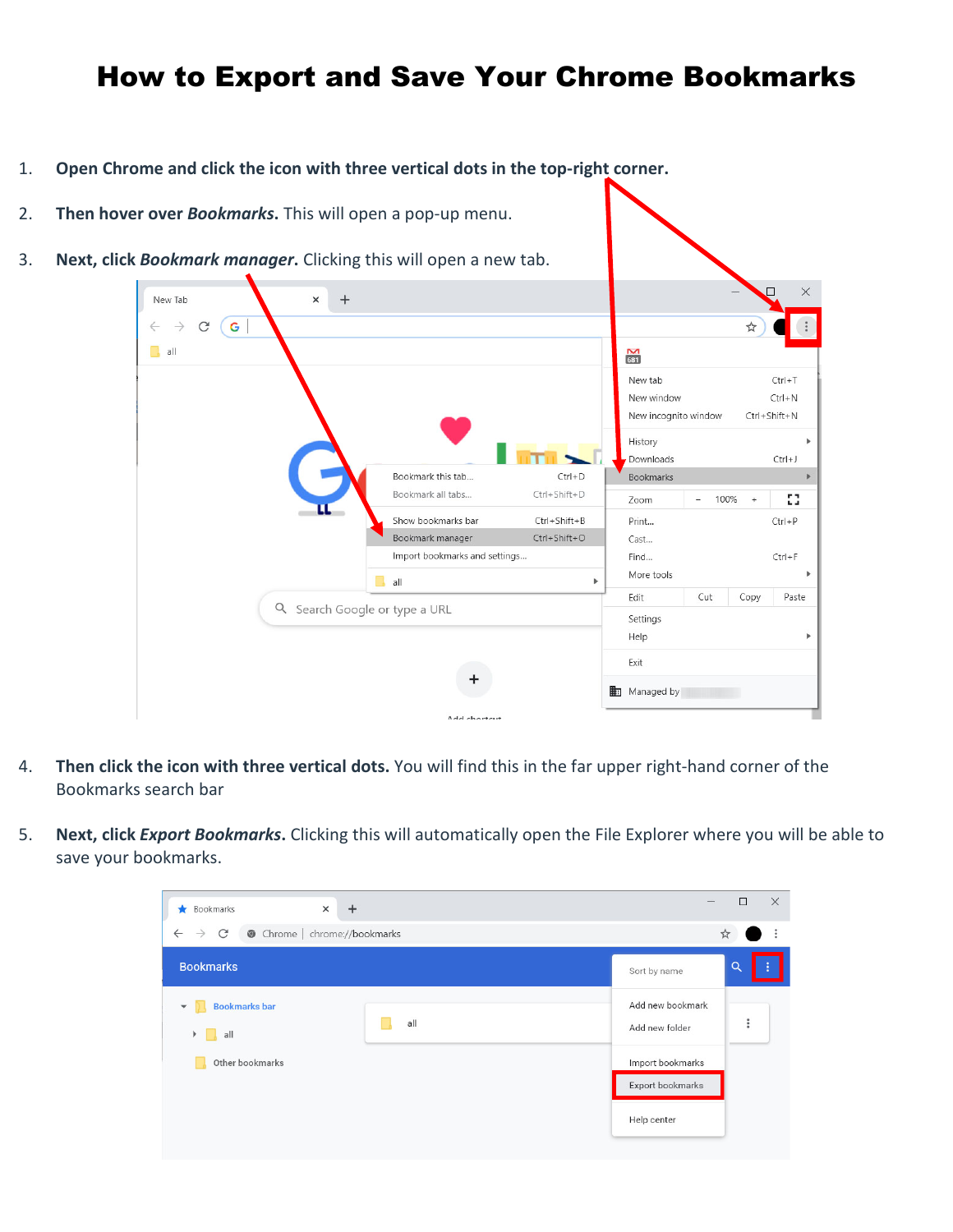## How to Export and Save Your Chrome Bookmarks

- 1. **Open Chrome and click the icon with three vertical dots in the top-right corner.**
- 2. **Then hover over** *Bookmarks***.** This will open a pop-up menu.
- 3. **Next, click** *Bookmark manager***.** Clicking this will open a new tab.

| <b>BOOKMORK MONOGER.</b> CITCKING LINS WILL OPEN & HEW LAD. |                               |              |                      |                                  |           |              |
|-------------------------------------------------------------|-------------------------------|--------------|----------------------|----------------------------------|-----------|--------------|
| New Tab<br>$\times$                                         | $+$                           |              |                      |                                  |           | $\times$     |
| G<br>C                                                      |                               |              |                      |                                  | ☆         |              |
| all                                                         |                               |              | $\frac{M}{631}$      |                                  |           |              |
|                                                             |                               |              | New tab              |                                  |           | $Ctrl + T$   |
|                                                             |                               |              | New window           |                                  |           | $Ctrl + N$   |
|                                                             |                               |              | New incognito window |                                  |           | Ctrl+Shift+N |
|                                                             |                               |              | History              |                                  |           |              |
|                                                             |                               |              | Downloads            |                                  |           | $Ctrl + J$   |
|                                                             | Bookmark this tab             | $Ctrl + D$   | <b>Bookmarks</b>     |                                  |           |              |
|                                                             | Bookmark all tabs             | Ctrl+Shift+D | Zoom                 | 100%<br>$\overline{\phantom{a}}$ | $\ddot{}$ | 53           |
| π                                                           | Show bookmarks bar            | Ctrl+Shift+B | Print                |                                  |           | $Ctrl + P$   |
|                                                             | Bookmark manager              | Ctrl+Shift+O | Cast                 |                                  |           |              |
|                                                             | Import bookmarks and settings |              | Find                 |                                  |           | $Ctrl + F$   |
|                                                             | R<br>all                      | Þ            | More tools           |                                  |           |              |
|                                                             |                               |              | Edit                 | Cut                              | Copy      | Paste        |
|                                                             | Q Search Google or type a URL |              | Settings             |                                  |           |              |
|                                                             |                               |              | Help                 |                                  |           |              |
| +                                                           |                               |              | Exit                 |                                  |           |              |
|                                                             |                               |              |                      |                                  |           |              |
|                                                             |                               |              | 軸<br>Managed by      |                                  |           |              |
|                                                             | $A - 1 - 1 - 1 - 1$           |              |                      |                                  |           |              |

- 4. **Then click the icon with three vertical dots.** You will find this in the far upper right-hand corner of the Bookmarks search bar
- 5. **Next, click** *Export Bookmarks***.** Clicking this will automatically open the File Explorer where you will be able to save your bookmarks.

| $\times$<br>Bookmarks<br>$^{+}$<br>*                                          |     | $\qquad \qquad$                      | $\Box$   | $\times$ |
|-------------------------------------------------------------------------------|-----|--------------------------------------|----------|----------|
| Chrome   chrome://bookmarks<br>$\leftarrow$<br>$\mathcal{C}$<br>$\rightarrow$ |     |                                      | ☆        | ÷        |
| <b>Bookmarks</b>                                                              |     | Sort by name                         | Q        | ÷        |
| <b>Bookmarks bar</b><br>all<br>Þ.                                             | all | Add new bookmark<br>Add new folder   | $\vdots$ |          |
| Other bookmarks                                                               |     | Import bookmarks<br>Export bookmarks |          |          |
|                                                                               |     | Help center                          |          |          |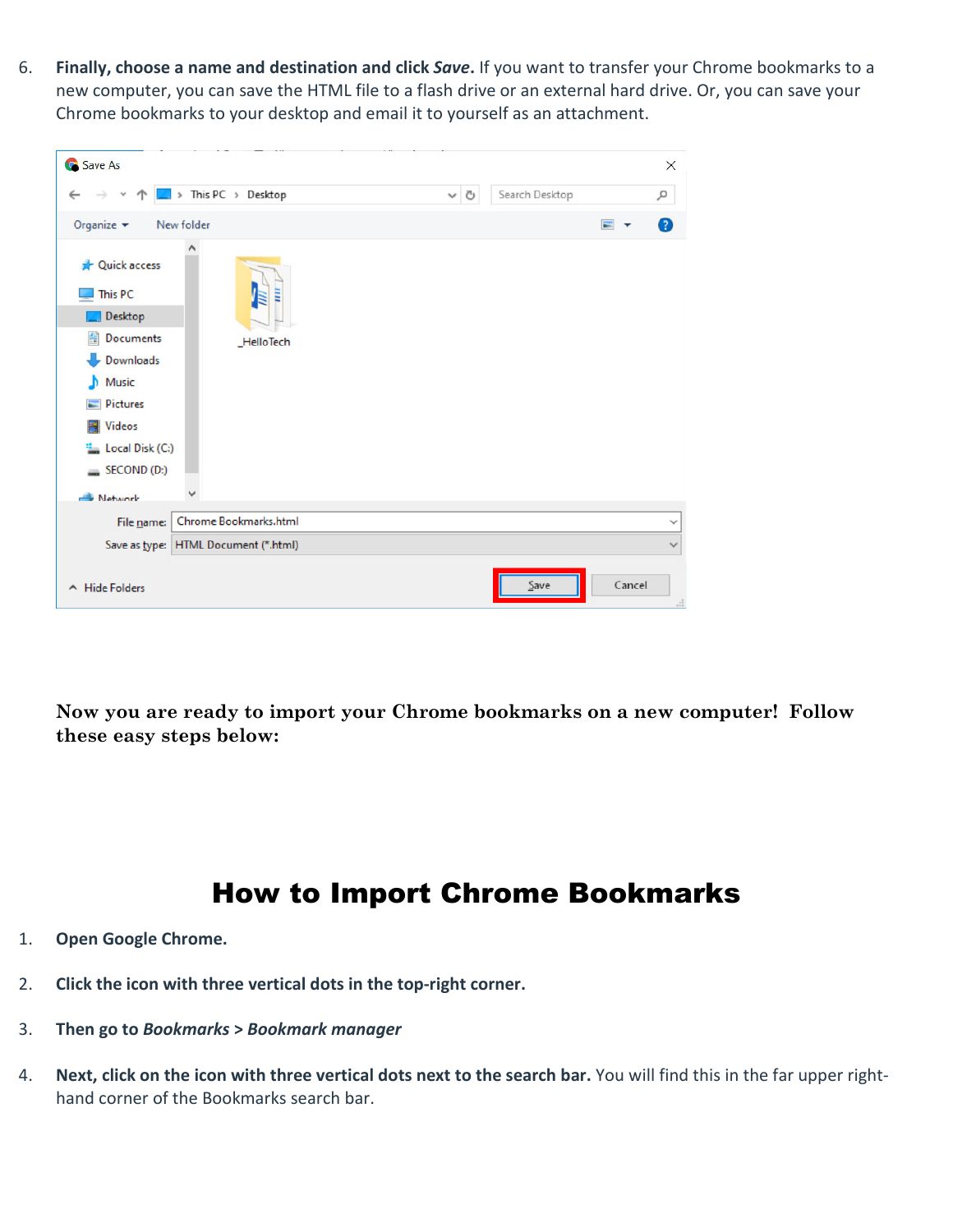6. **Finally, choose a name and destination and click** *Save***.** If you want to transfer your Chrome bookmarks to a new computer, you can save the HTML file to a flash drive or an external hard drive. Or, you can save your Chrome bookmarks to your desktop and email it to yourself as an attachment.

| Save As                                                                                                                                                        |                                      |         |                |                     | $\times$     |
|----------------------------------------------------------------------------------------------------------------------------------------------------------------|--------------------------------------|---------|----------------|---------------------|--------------|
|                                                                                                                                                                | > This PC > Desktop                  | $\circ$ | Search Desktop |                     | ۹            |
| Organize $\blacktriangledown$                                                                                                                                  | New folder                           |         |                | $\blacksquare$<br>≂ | 7            |
| Quick access<br>┹<br>This PC<br>Desktop<br>Documents<br>兽<br>Downloads<br>Music<br>ь<br>Pictures<br><b>Wideos</b><br>" Local Disk (C:)<br>SECOND(D:<br>Network | Ē<br><b>HelloTech</b>                |         |                |                     |              |
| File name:                                                                                                                                                     | Chrome Bookmarks.html                |         |                |                     | $\checkmark$ |
|                                                                                                                                                                | Save as type: HTML Document (*.html) |         |                |                     | $\checkmark$ |
| $\land$ Hide Folders                                                                                                                                           |                                      |         | Save           | Cancel              |              |

**Now you are ready to import your Chrome bookmarks on a new computer! Follow these easy steps below:**

## How to Import Chrome Bookmarks

- 1. **Open Google Chrome.**
- 2. **Click the icon with three vertical dots in the top-right corner.**
- 3. **Then go to** *Bookmarks* **>** *Bookmark manager*
- 4. **Next, click on the icon with three vertical dots next to the search bar.** You will find this in the far upper righthand corner of the Bookmarks search bar.